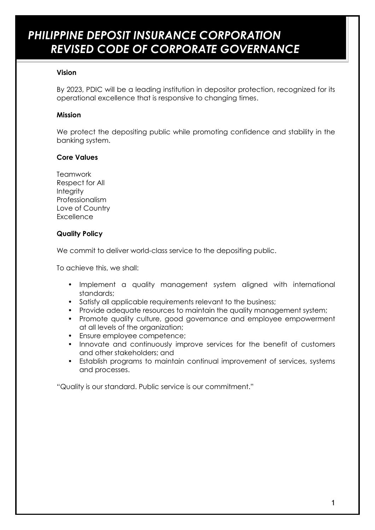# *PHILIPPINE DEPOSIT INSURANCE CORPORATION REVISED CODE OF CORPORATE GOVERNANCE*

#### **Vision**

By 2023, PDIC will be a leading institution in depositor protection, recognized for its operational excellence that is responsive to changing times.

#### **Mission**

We protect the depositing public while promoting confidence and stability in the banking system.

#### **Core Values**

**Teamwork** Respect for All **Integrity** Professionalism Love of Country **Excellence** 

### **Quality Policy**

We commit to deliver world-class service to the depositing public.

To achieve this, we shall:

- Implement a quality management system aligned with international standards;
- Satisfy all applicable requirements relevant to the business;
- Provide adequate resources to maintain the quality management system;
- Promote quality culture, good governance and employee empowerment at all levels of the organization;
- Ensure employee competence;
- Innovate and continuously improve services for the benefit of customers and other stakeholders; and
- Establish programs to maintain continual improvement of services, systems and processes.

"Quality is our standard. Public service is our commitment."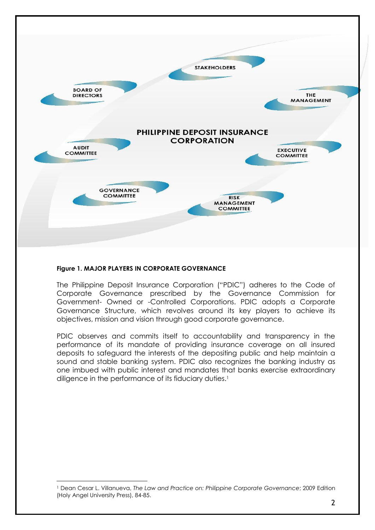

#### **Figure 1. MAJOR PLAYERS IN CORPORATE GOVERNANCE**

-

The Philippine Deposit Insurance Corporation ("PDIC") adheres to the Code of Corporate Governance prescribed by the Governance Commission for Government- Owned or -Controlled Corporations. PDIC adopts a Corporate Governance Structure, which revolves around its key players to achieve its objectives, mission and vision through good corporate governance.

PDIC observes and commits itself to accountability and transparency in the performance of its mandate of providing insurance coverage on all insured deposits to safeguard the interests of the depositing public and help maintain a sound and stable banking system. PDIC also recognizes the banking industry as one imbued with public interest and mandates that banks exercise extraordinary diligence in the performance of its fiduciary duties.<sup>1</sup>

<sup>1</sup> Dean Cesar L. Villanueva, *The Law and Practice on: Philippine Corporate Governance*; 2009 Edition (Holy Angel University Press), 84-85.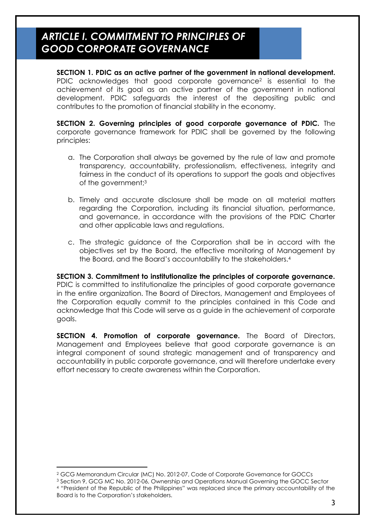### *ARTICLE I. COMMITMENT TO PRINCIPLES OF GOOD CORPORATE GOVERNANCE*

**SECTION 1. PDIC as an active partner of the government in national development.**  PDIC acknowledges that good corporate governance<sup>2</sup> is essential to the achievement of its goal as an active partner of the government in national development. PDIC safeguards the interest of the depositing public and contributes to the promotion of financial stability in the economy.

**SECTION 2. Governing principles of good corporate governance of PDIC.** The corporate governance framework for PDIC shall be governed by the following principles:

- a. The Corporation shall always be governed by the rule of law and promote transparency, accountability, professionalism, effectiveness, integrity and fairness in the conduct of its operations to support the goals and objectives of the government;<sup>3</sup>
- b. Timely and accurate disclosure shall be made on all material matters regarding the Corporation, including its financial situation, performance, and governance, in accordance with the provisions of the PDIC Charter and other applicable laws and regulations.
- c. The strategic guidance of the Corporation shall be in accord with the objectives set by the Board, the effective monitoring of Management by the Board, and the Board's accountability to the stakeholders.<sup>4</sup>

**SECTION 3. Commitment to institutionalize the principles of corporate governance.**  PDIC is committed to institutionalize the principles of good corporate governance in the entire organization. The Board of Directors, Management and Employees of the Corporation equally commit to the principles contained in this Code and acknowledge that this Code will serve as a guide in the achievement of corporate goals.

**SECTION 4. Promotion of corporate governance.** The Board of Directors, Management and Employees believe that good corporate governance is an integral component of sound strategic management and of transparency and accountability in public corporate governance, and will therefore undertake every effort necessary to create awareness within the Corporation.

-

<sup>2</sup> GCG Memorandum Circular (MC) No. 2012-07, Code of Corporate Governance for GOCCs

<sup>3</sup> Section 9, GCG MC No. 2012-06, Ownership and Operations Manual Governing the GOCC Sector <sup>4</sup> "President of the Republic of the Philippines" was replaced since the primary accountability of the Board is to the Corporation's stakeholders.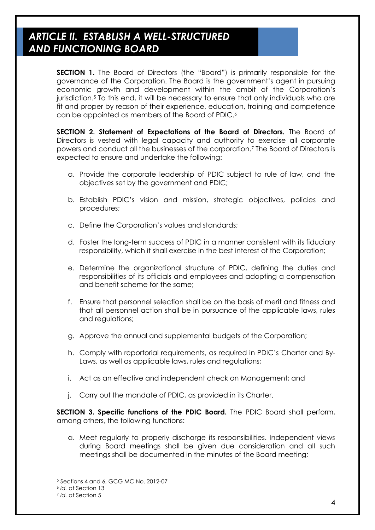### *ARTICLE II. ESTABLISH A WELL-STRUCTURED AND FUNCTIONING BOARD*

**SECTION 1.** The Board of Directors (the "Board") is primarily responsible for the governance of the Corporation. The Board is the government's agent in pursuing economic growth and development within the ambit of the Corporation's jurisdiction. <sup>5</sup> To this end, it will be necessary to ensure that only individuals who are fit and proper by reason of their experience, education, training and competence can be appointed as members of the Board of PDIC.<sup>6</sup>

**SECTION 2. Statement of Expectations of the Board of Directors.** The Board of Directors is vested with legal capacity and authority to exercise all corporate powers and conduct all the businesses of the corporation. <sup>7</sup> The Board of Directors is expected to ensure and undertake the following:

- a. Provide the corporate leadership of PDIC subject to rule of law, and the objectives set by the government and PDIC;
- b. Establish PDIC's vision and mission, strategic objectives, policies and procedures;
- c. Define the Corporation's values and standards;
- d. Foster the long-term success of PDIC in a manner consistent with its fiduciary responsibility, which it shall exercise in the best interest of the Corporation;
- e. Determine the organizational structure of PDIC, defining the duties and responsibilities of its officials and employees and adopting a compensation and benefit scheme for the same;
- f. Ensure that personnel selection shall be on the basis of merit and fitness and that all personnel action shall be in pursuance of the applicable laws, rules and regulations;
- g. Approve the annual and supplemental budgets of the Corporation;
- h. Comply with reportorial requirements, as required in PDIC's Charter and By-Laws, as well as applicable laws, rules and regulations;
- i. Act as an effective and independent check on Management; and
- j. Carry out the mandate of PDIC, as provided in its Charter.

**SECTION 3. Specific functions of the PDIC Board.** The PDIC Board shall perform, among others, the following functions:

a. Meet regularly to properly discharge its responsibilities. Independent views during Board meetings shall be given due consideration and all such meetings shall be documented in the minutes of the Board meeting;

<sup>5</sup> Sections 4 and 6, GCG MC No. 2012-07

<sup>6</sup> *Id.* at Section 13

<sup>7</sup> *Id.* at Section 5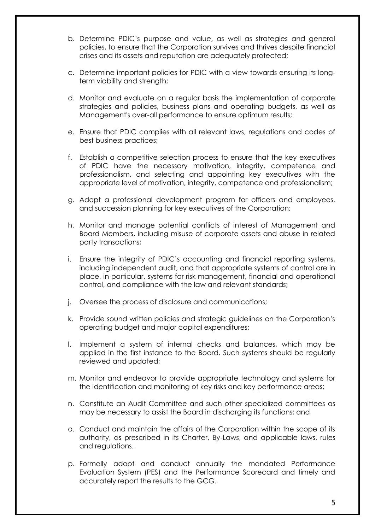- b. Determine PDIC's purpose and value, as well as strategies and general policies, to ensure that the Corporation survives and thrives despite financial crises and its assets and reputation are adequately protected;
- c. Determine important policies for PDIC with a view towards ensuring its longterm viability and strength;
- d. Monitor and evaluate on a regular basis the implementation of corporate strategies and policies, business plans and operating budgets, as well as Management's over-all performance to ensure optimum results;
- e. Ensure that PDIC complies with all relevant laws, regulations and codes of best business practices;
- f. Establish a competitive selection process to ensure that the key executives of PDIC have the necessary motivation, integrity, competence and professionalism, and selecting and appointing key executives with the appropriate level of motivation, integrity, competence and professionalism;
- g. Adopt a professional development program for officers and employees, and succession planning for key executives of the Corporation;
- h. Monitor and manage potential conflicts of interest of Management and Board Members, including misuse of corporate assets and abuse in related party transactions;
- i. Ensure the integrity of PDIC's accounting and financial reporting systems, including independent audit, and that appropriate systems of control are in place, in particular, systems for risk management, financial and operational control, and compliance with the law and relevant standards;
- j. Oversee the process of disclosure and communications;
- k. Provide sound written policies and strategic guidelines on the Corporation's operating budget and major capital expenditures;
- l. Implement a system of internal checks and balances, which may be applied in the first instance to the Board. Such systems should be regularly reviewed and updated;
- m. Monitor and endeavor to provide appropriate technology and systems for the identification and monitoring of key risks and key performance areas;
- n. Constitute an Audit Committee and such other specialized committees as may be necessary to assist the Board in discharging its functions; and
- o. Conduct and maintain the affairs of the Corporation within the scope of its authority, as prescribed in its Charter, By-Laws, and applicable laws, rules and regulations.
- p. Formally adopt and conduct annually the mandated Performance Evaluation System (PES) and the Performance Scorecard and timely and accurately report the results to the GCG.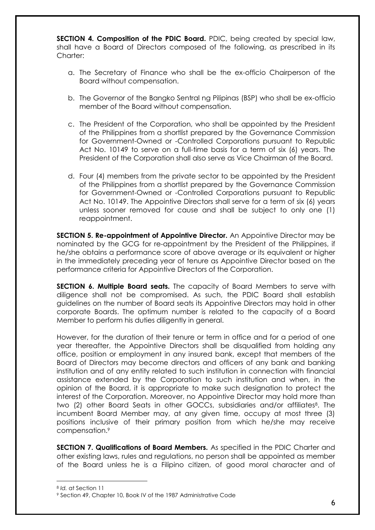**SECTION 4. Composition of the PDIC Board.** PDIC, being created by special law, shall have a Board of Directors composed of the following, as prescribed in its Charter:

- a. The Secretary of Finance who shall be the ex-officio Chairperson of the Board without compensation.
- b. The Governor of the Bangko Sentral ng Pilipinas (BSP) who shall be ex-officio member of the Board without compensation.
- c. The President of the Corporation, who shall be appointed by the President of the Philippines from a shortlist prepared by the Governance Commission for Government-Owned or -Controlled Corporations pursuant to Republic Act No. 10149 to serve on a full-time basis for a term of six (6) years. The President of the Corporation shall also serve as Vice Chairman of the Board.
- d. Four (4) members from the private sector to be appointed by the President of the Philippines from a shortlist prepared by the Governance Commission for Government-Owned or -Controlled Corporations pursuant to Republic Act No. 10149. The Appointive Directors shall serve for a term of six (6) years unless sooner removed for cause and shall be subject to only one (1) reappointment.

**SECTION 5. Re-appointment of Appointive Director.** An Appointive Director may be nominated by the GCG for re-appointment by the President of the Philippines, if he/she obtains a performance score of above average or its equivalent or higher in the immediately preceding year of tenure as Appointive Director based on the performance criteria for Appointive Directors of the Corporation.

**SECTION 6. Multiple Board seats.** The capacity of Board Members to serve with diligence shall not be compromised. As such, the PDIC Board shall establish guidelines on the number of Board seats its Appointive Directors may hold in other corporate Boards. The optimum number is related to the capacity of a Board Member to perform his duties diligently in general.

However, for the duration of their tenure or term in office and for a period of one year thereafter, the Appointive Directors shall be disqualified from holding any office, position or employment in any insured bank, except that members of the Board of Directors may become directors and officers of any bank and banking institution and of any entity related to such institution in connection with financial assistance extended by the Corporation to such institution and when, in the opinion of the Board, it is appropriate to make such designation to protect the interest of the Corporation. Moreover, no Appointive Director may hold more than two (2) other Board Seats in other GOCCs, subsidiaries and/or affiliates<sup>8</sup>. The incumbent Board Member may, at any given time, occupy at most three (3) positions inclusive of their primary position from which he/she may receive compensation. 9

**SECTION 7. Qualifications of Board Members.** As specified in the PDIC Charter and other existing laws, rules and regulations, no person shall be appointed as member of the Board unless he is a Filipino citizen, of good moral character and of

-

<sup>8</sup> *Id.* at Section 11

<sup>9</sup> Section 49, Chapter 10, Book IV of the 1987 Administrative Code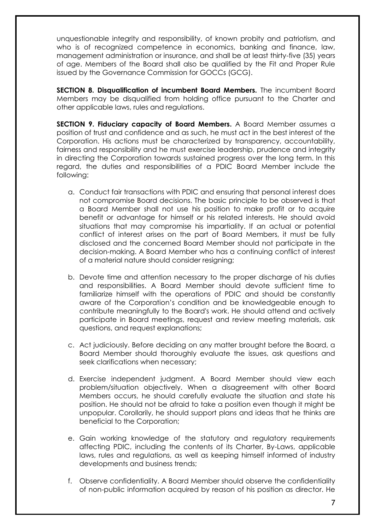unquestionable integrity and responsibility, of known probity and patriotism, and who is of recognized competence in economics, banking and finance, law, management administration or insurance, and shall be at least thirty-five (35) years of age. Members of the Board shall also be qualified by the Fit and Proper Rule issued by the Governance Commission for GOCCs (GCG).

**SECTION 8. Disqualification of incumbent Board Members.** The incumbent Board Members may be disqualified from holding office pursuant to the Charter and other applicable laws, rules and regulations.

**SECTION 9. Fiduciary capacity of Board Members.** A Board Member assumes a position of trust and confidence and as such, he must act in the best interest of the Corporation. His actions must be characterized by transparency, accountability, fairness and responsibility and he must exercise leadership, prudence and integrity in directing the Corporation towards sustained progress over the long term. In this regard, the duties and responsibilities of a PDIC Board Member include the following:

- a. Conduct fair transactions with PDIC and ensuring that personal interest does not compromise Board decisions. The basic principle to be observed is that a Board Member shall not use his position to make profit or to acquire benefit or advantage for himself or his related interests. He should avoid situations that may compromise his impartiality. If an actual or potential conflict of interest arises on the part of Board Members, it must be fully disclosed and the concerned Board Member should not participate in the decision-making. A Board Member who has a continuing conflict of interest of a material nature should consider resigning;
- b. Devote time and attention necessary to the proper discharge of his duties and responsibilities. A Board Member should devote sufficient time to familiarize himself with the operations of PDIC and should be constantly aware of the Corporation's condition and be knowledgeable enough to contribute meaningfully to the Board's work. He should attend and actively participate in Board meetings, request and review meeting materials, ask questions, and request explanations;
- c. Act judiciously. Before deciding on any matter brought before the Board, a Board Member should thoroughly evaluate the issues, ask questions and seek clarifications when necessary;
- d. Exercise independent judgment. A Board Member should view each problem/situation objectively. When a disagreement with other Board Members occurs, he should carefully evaluate the situation and state his position. He should not be afraid to take a position even though it might be unpopular. Corollarily, he should support plans and ideas that he thinks are beneficial to the Corporation;
- e. Gain working knowledge of the statutory and regulatory requirements affecting PDIC, including the contents of its Charter, By-Laws, applicable laws, rules and regulations, as well as keeping himself informed of industry developments and business trends;
- f. Observe confidentiality. A Board Member should observe the confidentiality of non-public information acquired by reason of his position as director. He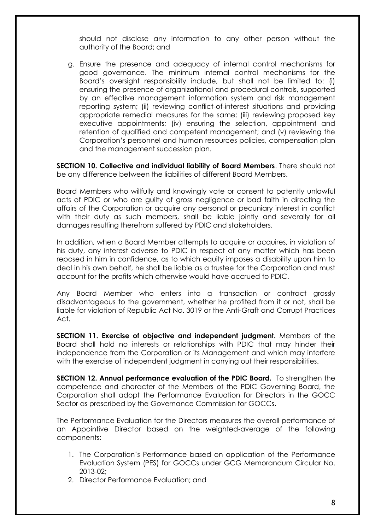should not disclose any information to any other person without the authority of the Board; and

g. Ensure the presence and adequacy of internal control mechanisms for good governance. The minimum internal control mechanisms for the Board's oversight responsibility include, but shall not be limited to: (i) ensuring the presence of organizational and procedural controls, supported by an effective management information system and risk management reporting system; (ii) reviewing conflict-of-interest situations and providing appropriate remedial measures for the same; (iii) reviewing proposed key executive appointments; (iv) ensuring the selection, appointment and retention of qualified and competent management; and (v) reviewing the Corporation's personnel and human resources policies, compensation plan and the management succession plan.

**SECTION 10. Collective and individual liability of Board Members**. There should not be any difference between the liabilities of different Board Members.

Board Members who willfully and knowingly vote or consent to patently unlawful acts of PDIC or who are guilty of gross negligence or bad faith in directing the affairs of the Corporation or acquire any personal or pecuniary interest in conflict with their duty as such members, shall be liable jointly and severally for all damages resulting therefrom suffered by PDIC and stakeholders.

In addition, when a Board Member attempts to acquire or acquires, in violation of his duty, any interest adverse to PDIC in respect of any matter which has been reposed in him in confidence, as to which equity imposes a disability upon him to deal in his own behalf, he shall be liable as a trustee for the Corporation and must account for the profits which otherwise would have accrued to PDIC.

Any Board Member who enters into a transaction or contract grossly disadvantageous to the government, whether he profited from it or not, shall be liable for violation of Republic Act No. 3019 or the Anti-Graft and Corrupt Practices Act.

**SECTION 11. Exercise of objective and independent judgment.** Members of the Board shall hold no interests or relationships with PDIC that may hinder their independence from the Corporation or its Management and which may interfere with the exercise of independent judgment in carrying out their responsibilities.

**SECTION 12. Annual performance evaluation of the PDIC Board.** To strengthen the competence and character of the Members of the PDIC Governing Board, the Corporation shall adopt the Performance Evaluation for Directors in the GOCC Sector as prescribed by the Governance Commission for GOCCs.

The Performance Evaluation for the Directors measures the overall performance of an Appointive Director based on the weighted-average of the following components:

- 1. The Corporation's Performance based on application of the Performance Evaluation System (PES) for GOCCs under GCG Memorandum Circular No. 2013-02;
- 2. Director Performance Evaluation; and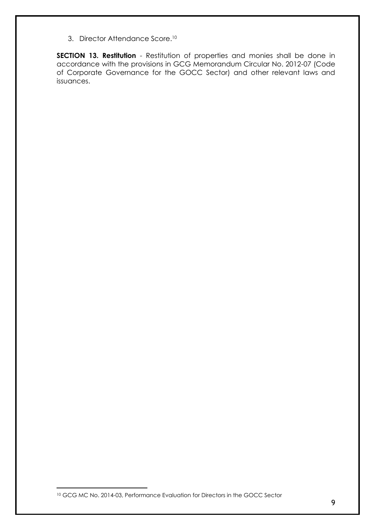3. Director Attendance Score. 10

**SECTION 13. Restitution** - Restitution of properties and monies shall be done in accordance with the provisions in GCG Memorandum Circular No. 2012-07 (Code of Corporate Governance for the GOCC Sector) and other relevant laws and issuances.

<sup>10</sup> GCG MC No. 2014-03, Performance Evaluation for Directors in the GOCC Sector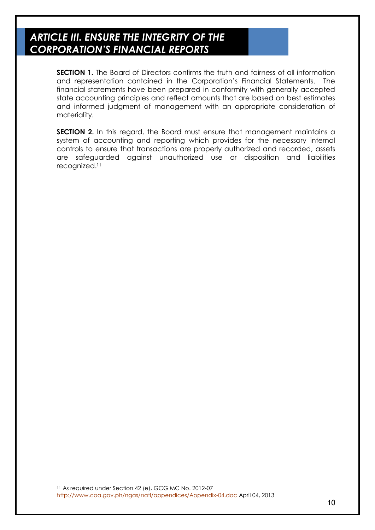# *ARTICLE III. ENSURE THE INTEGRITY OF THE CORPORATION'S FINANCIAL REPORTS*

**SECTION 1.** The Board of Directors confirms the truth and fairness of all information and representation contained in the Corporation's Financial Statements. The financial statements have been prepared in conformity with generally accepted state accounting principles and reflect amounts that are based on best estimates and informed judgment of management with an appropriate consideration of materiality.

**SECTION 2.** In this regard, the Board must ensure that management maintains a system of accounting and reporting which provides for the necessary internal controls to ensure that transactions are properly authorized and recorded, assets are safeguarded against unauthorized use or disposition and liabilities recognized.<sup>11</sup>

<sup>11</sup> As required under Section 42 (e), GCG MC No. 2012-07 <http://www.coa.gov.ph/ngas/natl/appendices/Appendix-04.doc> April 04, 2013

-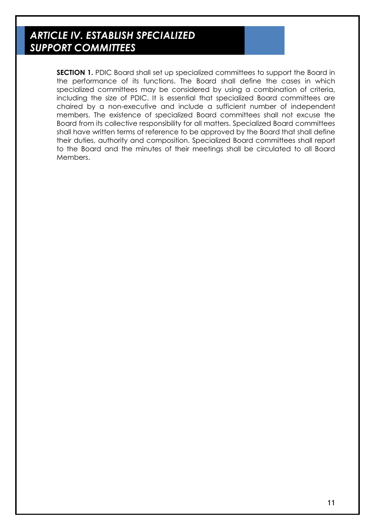# *ARTICLE IV. ESTABLISH SPECIALIZED SUPPORT COMMITTEES*

**SECTION 1.** PDIC Board shall set up specialized committees to support the Board in the performance of its functions. The Board shall define the cases in which specialized committees may be considered by using a combination of criteria, including the size of PDIC. It is essential that specialized Board committees are chaired by a non-executive and include a sufficient number of independent members. The existence of specialized Board committees shall not excuse the Board from its collective responsibility for all matters. Specialized Board committees shall have written terms of reference to be approved by the Board that shall define their duties, authority and composition. Specialized Board committees shall report to the Board and the minutes of their meetings shall be circulated to all Board Members.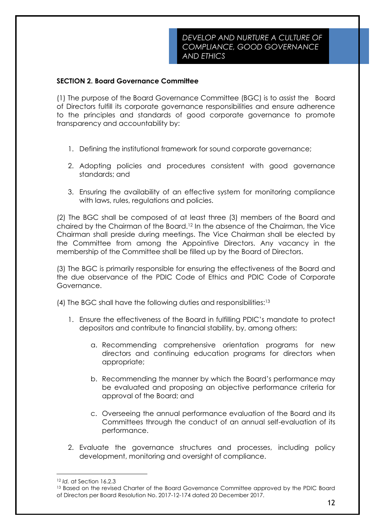#### **SECTION 2. Board Governance Committee**

(1) The purpose of the Board Governance Committee (BGC) is to assist the Board of Directors fulfill its corporate governance responsibilities and ensure adherence to the principles and standards of good corporate governance to promote transparency and accountability by:

- 1. Defining the institutional framework for sound corporate governance;
- 2. Adopting policies and procedures consistent with good governance standards; and
- 3. Ensuring the availability of an effective system for monitoring compliance with laws, rules, regulations and policies.

(2) The BGC shall be composed of at least three (3) members of the Board and chaired by the Chairman of the Board.<sup>12</sup> In the absence of the Chairman, the Vice Chairman shall preside during meetings. The Vice Chairman shall be elected by the Committee from among the Appointive Directors. Any vacancy in the membership of the Committee shall be filled up by the Board of Directors.

(3) The BGC is primarily responsible for ensuring the effectiveness of the Board and the due observance of the PDIC Code of Ethics and PDIC Code of Corporate Governance.

(4) The BGC shall have the following duties and responsibilities:<sup>13</sup>

- 1. Ensure the effectiveness of the Board in fulfilling PDIC's mandate to protect depositors and contribute to financial stability, by, among others:
	- a. Recommending comprehensive orientation programs for new directors and continuing education programs for directors when appropriate;
	- b. Recommending the manner by which the Board's performance may be evaluated and proposing an objective performance criteria for approval of the Board; and
	- c. Overseeing the annual performance evaluation of the Board and its Committees through the conduct of an annual self-evaluation of its performance.
- 2. Evaluate the governance structures and processes, including policy development, monitoring and oversight of compliance.

<sup>12</sup> *Id.* at Section 16.2.3

<sup>&</sup>lt;sup>13</sup> Based on the revised Charter of the Board Governance Committee approved by the PDIC Board of Directors per Board Resolution No. 2017-12-174 dated 20 December 2017.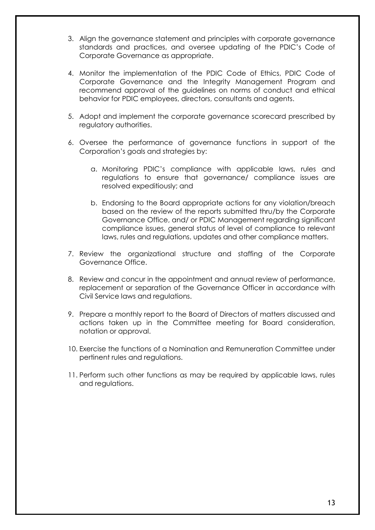- 3. Align the governance statement and principles with corporate governance standards and practices, and oversee updating of the PDIC's Code of Corporate Governance as appropriate.
- 4. Monitor the implementation of the PDIC Code of Ethics, PDIC Code of Corporate Governance and the Integrity Management Program and recommend approval of the guidelines on norms of conduct and ethical behavior for PDIC employees, directors, consultants and agents.
- 5. Adopt and implement the corporate governance scorecard prescribed by regulatory authorities.
- 6. Oversee the performance of governance functions in support of the Corporation's goals and strategies by:
	- a. Monitoring PDIC's compliance with applicable laws, rules and regulations to ensure that governance/ compliance issues are resolved expeditiously; and
	- b. Endorsing to the Board appropriate actions for any violation/breach based on the review of the reports submitted thru/by the Corporate Governance Office, and/ or PDIC Management regarding significant compliance issues, general status of level of compliance to relevant laws, rules and regulations, updates and other compliance matters.
- 7. Review the organizational structure and staffing of the Corporate Governance Office.
- 8. Review and concur in the appointment and annual review of performance, replacement or separation of the Governance Officer in accordance with Civil Service laws and regulations.
- 9. Prepare a monthly report to the Board of Directors of matters discussed and actions taken up in the Committee meeting for Board consideration, notation or approval.
- 10. Exercise the functions of a Nomination and Remuneration Committee under pertinent rules and regulations.
- 11. Perform such other functions as may be required by applicable laws, rules and regulations.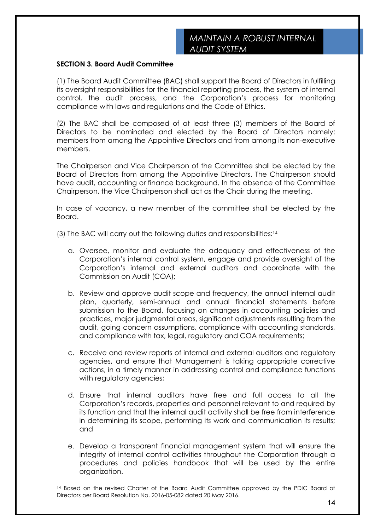#### **SECTION 3. Board Audit Committee**

-

(1) The Board Audit Committee (BAC) shall support the Board of Directors in fulfilling its oversight responsibilities for the financial reporting process, the system of internal control, the audit process, and the Corporation's process for monitoring compliance with laws and regulations and the Code of Ethics.

(2) The BAC shall be composed of at least three (3) members of the Board of Directors to be nominated and elected by the Board of Directors namely: members from among the Appointive Directors and from among its non-executive members.

The Chairperson and Vice Chairperson of the Committee shall be elected by the Board of Directors from among the Appointive Directors. The Chairperson should have audit, accounting or finance background. In the absence of the Committee Chairperson, the Vice Chairperson shall act as the Chair during the meeting.

In case of vacancy, a new member of the committee shall be elected by the Board.

(3) The BAC will carry out the following duties and responsibilities:<sup>14</sup>

- a. Oversee, monitor and evaluate the adequacy and effectiveness of the Corporation's internal control system, engage and provide oversight of the Corporation's internal and external auditors and coordinate with the Commission on Audit (COA);
- b. Review and approve audit scope and frequency, the annual internal audit plan, quarterly, semi-annual and annual financial statements before submission to the Board, focusing on changes in accounting policies and practices, major judgmental areas, significant adjustments resulting from the audit, going concern assumptions, compliance with accounting standards, and compliance with tax, legal, regulatory and COA requirements;
- c. Receive and review reports of internal and external auditors and regulatory agencies, and ensure that Management is taking appropriate corrective actions, in a timely manner in addressing control and compliance functions with regulatory agencies;
- d. Ensure that internal auditors have free and full access to all the Corporation's records, properties and personnel relevant to and required by its function and that the internal audit activity shall be free from interference in determining its scope, performing its work and communication its results; and
- e. Develop a transparent financial management system that will ensure the integrity of internal control activities throughout the Corporation through a procedures and policies handbook that will be used by the entire organization.

<sup>&</sup>lt;sup>14</sup> Based on the revised Charter of the Board Audit Committee approved by the PDIC Board of Directors per Board Resolution No. 2016-05-082 dated 20 May 2016.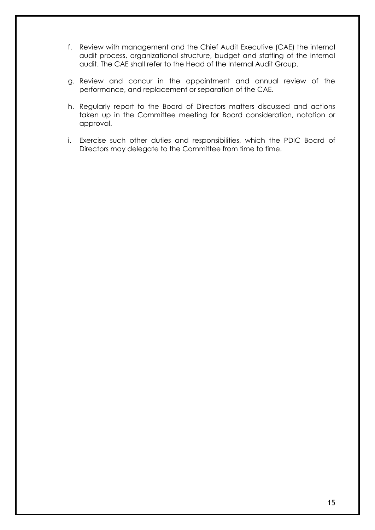- f. Review with management and the Chief Audit Executive (CAE) the internal audit process, organizational structure, budget and staffing of the internal audit. The CAE shall refer to the Head of the Internal Audit Group.
- g. Review and concur in the appointment and annual review of the performance, and replacement or separation of the CAE.
- h. Regularly report to the Board of Directors matters discussed and actions taken up in the Committee meeting for Board consideration, notation or approval.
- i. Exercise such other duties and responsibilities, which the PDIC Board of Directors may delegate to the Committee from time to time.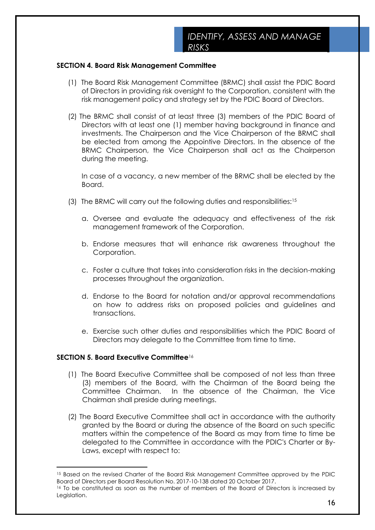#### **SECTION 4. Board Risk Management Committee**

- (1) The Board Risk Management Committee (BRMC) shall assist the PDIC Board of Directors in providing risk oversight to the Corporation, consistent with the risk management policy and strategy set by the PDIC Board of Directors.
- (2) The BRMC shall consist of at least three (3) members of the PDIC Board of Directors with at least one (1) member having background in finance and investments. The Chairperson and the Vice Chairperson of the BRMC shall be elected from among the Appointive Directors. In the absence of the BRMC Chairperson, the Vice Chairperson shall act as the Chairperson during the meeting.

In case of a vacancy, a new member of the BRMC shall be elected by the Board.

- (3) The BRMC will carry out the following duties and responsibilities:<sup>15</sup>
	- a. Oversee and evaluate the adequacy and effectiveness of the risk management framework of the Corporation.
	- b. Endorse measures that will enhance risk awareness throughout the Corporation.
	- c. Foster a culture that takes into consideration risks in the decision-making processes throughout the organization.
	- d. Endorse to the Board for notation and/or approval recommendations on how to address risks on proposed policies and guidelines and transactions.
	- e. Exercise such other duties and responsibilities which the PDIC Board of Directors may delegate to the Committee from time to time.

#### **SECTION 5. Board Executive Committee**<sup>16</sup>

-

- (1) The Board Executive Committee shall be composed of not less than three (3) members of the Board, with the Chairman of the Board being the Committee Chairman. In the absence of the Chairman, the Vice Chairman shall preside during meetings.
- (2) The Board Executive Committee shall act in accordance with the authority granted by the Board or during the absence of the Board on such specific matters within the competence of the Board as may from time to time be delegated to the Committee in accordance with the PDIC's Charter or By-Laws, except with respect to:

<sup>15</sup> Based on the revised Charter of the Board Risk Management Committee approved by the PDIC Board of Directors per Board Resolution No. 2017-10-138 dated 20 October 2017.

<sup>&</sup>lt;sup>16</sup> To be constituted as soon as the number of members of the Board of Directors is increased by Legislation.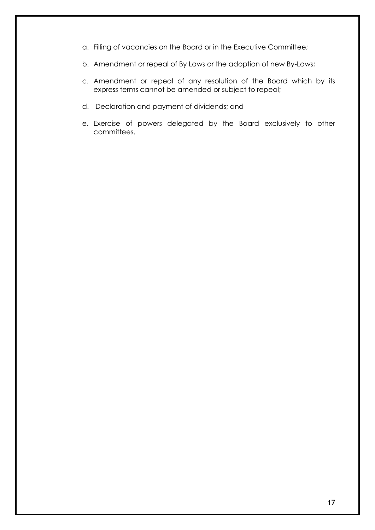- a. Filling of vacancies on the Board or in the Executive Committee;
- b. Amendment or repeal of By Laws or the adoption of new By-Laws;
- c. Amendment or repeal of any resolution of the Board which by its express terms cannot be amended or subject to repeal;
- d. Declaration and payment of dividends; and
- e. Exercise of powers delegated by the Board exclusively to other committees.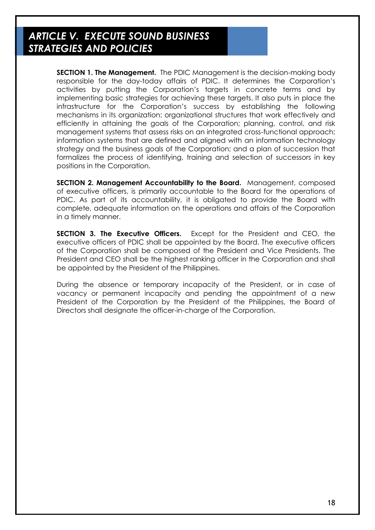### *ARTICLE V. EXECUTE SOUND BUSINESS STRATEGIES AND POLICIES*

**SECTION 1. The Management.** The PDIC Management is the decision-making body responsible for the day-today affairs of PDIC. It determines the Corporation's activities by putting the Corporation's targets in concrete terms and by implementing basic strategies for achieving these targets. It also puts in place the infrastructure for the Corporation's success by establishing the following mechanisms in its organization: organizational structures that work effectively and efficiently in attaining the goals of the Corporation; planning, control, and risk management systems that assess risks on an integrated cross-functional approach; information systems that are defined and aligned with an information technology strategy and the business goals of the Corporation; and a plan of succession that formalizes the process of identifying, training and selection of successors in key positions in the Corporation.

**SECTION 2. Management Accountability to the Board.** Management, composed of executive officers, is primarily accountable to the Board for the operations of PDIC. As part of its accountability, it is obligated to provide the Board with complete, adequate information on the operations and affairs of the Corporation in a timely manner.

**SECTION 3. The Executive Officers.** Except for the President and CEO, the executive officers of PDIC shall be appointed by the Board. The executive officers of the Corporation shall be composed of the President and Vice Presidents. The President and CEO shall be the highest ranking officer in the Corporation and shall be appointed by the President of the Philippines.

During the absence or temporary incapacity of the President, or in case of vacancy or permanent incapacity and pending the appointment of a new President of the Corporation by the President of the Philippines, the Board of Directors shall designate the officer-in-charge of the Corporation.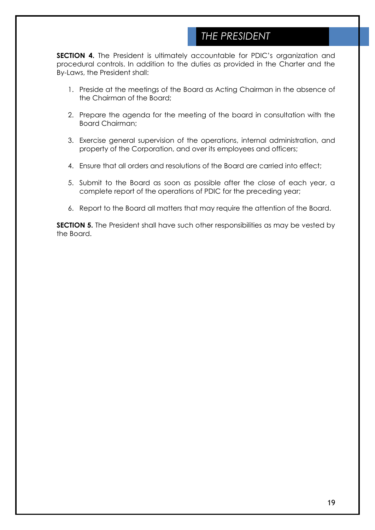### *THE PRESIDENT*

**SECTION 4.** The President is ultimately accountable for PDIC's organization and procedural controls. In addition to the duties as provided in the Charter and the By-Laws, the President shall:

- 1. Preside at the meetings of the Board as Acting Chairman in the absence of the Chairman of the Board;
- 2. Prepare the agenda for the meeting of the board in consultation with the Board Chairman;
- 3. Exercise general supervision of the operations, internal administration, and property of the Corporation, and over its employees and officers;
- 4. Ensure that all orders and resolutions of the Board are carried into effect;
- 5. Submit to the Board as soon as possible after the close of each year, a complete report of the operations of PDIC for the preceding year;
- 6. Report to the Board all matters that may require the attention of the Board.

**SECTION 5.** The President shall have such other responsibilities as may be vested by the Board.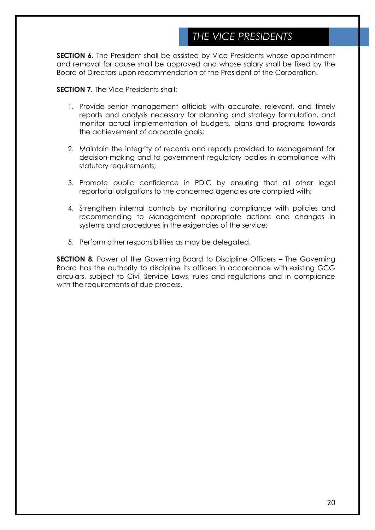### *THE VICE PRESIDENTS*

**SECTION 6.** The President shall be assisted by Vice Presidents whose appointment and removal for cause shall be approved and whose salary shall be fixed by the Board of Directors upon recommendation of the President of the Corporation.

**SECTION 7.** The Vice Presidents shall:

- 1. Provide senior management officials with accurate, relevant, and timely reports and analysis necessary for planning and strategy formulation, and monitor actual implementation of budgets, plans and programs towards the achievement of corporate goals;
- 2. Maintain the integrity of records and reports provided to Management for decision-making and to government regulatory bodies in compliance with statutory requirements;
- 3. Promote public confidence in PDIC by ensuring that all other legal reportorial obligations to the concerned agencies are complied with;
- 4. Strengthen internal controls by monitoring compliance with policies and recommending to Management appropriate actions and changes in systems and procedures in the exigencies of the service;
- 5. Perform other responsibilities as may be delegated.

**SECTION 8.** Power of the Governing Board to Discipline Officers – The Governing Board has the authority to discipline its officers in accordance with existing GCG circulars, subject to Civil Service Laws, rules and regulations and in compliance with the requirements of due process.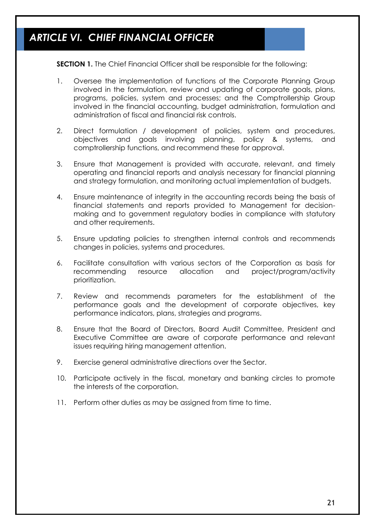# *ARTICLE VI. CHIEF FINANCIAL OFFICER*

**SECTION 1.** The Chief Financial Officer shall be responsible for the following:

- 1. Oversee the implementation of functions of the Corporate Planning Group involved in the formulation, review and updating of corporate goals, plans, programs, policies, system and processes; and the Comptrollership Group involved in the financial accounting, budget administration, formulation and administration of fiscal and financial risk controls.
- 2. Direct formulation / development of policies, system and procedures, objectives and goals involving planning, policy & systems, and comptrollership functions, and recommend these for approval.
- 3. Ensure that Management is provided with accurate, relevant, and timely operating and financial reports and analysis necessary for financial planning and strategy formulation, and monitoring actual implementation of budgets.
- 4. Ensure maintenance of integrity in the accounting records being the basis of financial statements and reports provided to Management for decisionmaking and to government regulatory bodies in compliance with statutory and other requirements.
- 5. Ensure updating policies to strengthen internal controls and recommends changes in policies, systems and procedures.
- 6. Facilitate consultation with various sectors of the Corporation as basis for recommending resource allocation and project/program/activity prioritization.
- 7. Review and recommends parameters for the establishment of the performance goals and the development of corporate objectives, key performance indicators, plans, strategies and programs.
- 8. Ensure that the Board of Directors, Board Audit Committee, President and Executive Committee are aware of corporate performance and relevant issues requiring hiring management attention.
- 9. Exercise general administrative directions over the Sector.
- 10. Participate actively in the fiscal, monetary and banking circles to promote the interests of the corporation.
- 11. Perform other duties as may be assigned from time to time.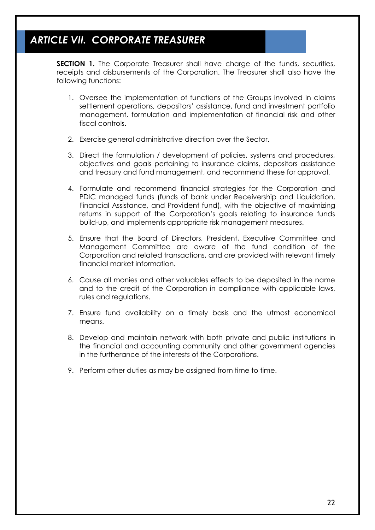# *ARTICLE VII. CORPORATE TREASURER*

**SECTION 1.** The Corporate Treasurer shall have charge of the funds, securities, receipts and disbursements of the Corporation. The Treasurer shall also have the following functions:

- 1. Oversee the implementation of functions of the Groups involved in claims settlement operations, depositors' assistance, fund and investment portfolio management, formulation and implementation of financial risk and other fiscal controls.
- 2. Exercise general administrative direction over the Sector.
- 3. Direct the formulation / development of policies, systems and procedures, objectives and goals pertaining to insurance claims, depositors assistance and treasury and fund management, and recommend these for approval.
- 4. Formulate and recommend financial strategies for the Corporation and PDIC managed funds (funds of bank under Receivership and Liquidation, Financial Assistance, and Provident fund), with the objective of maximizing returns in support of the Corporation's goals relating to insurance funds build-up, and implements appropriate risk management measures.
- 5. Ensure that the Board of Directors, President, Executive Committee and Management Committee are aware of the fund condition of the Corporation and related transactions, and are provided with relevant timely financial market information.
- 6. Cause all monies and other valuables effects to be deposited in the name and to the credit of the Corporation in compliance with applicable laws, rules and regulations.
- 7. Ensure fund availability on a timely basis and the utmost economical means
- 8. Develop and maintain network with both private and public institutions in the financial and accounting community and other government agencies in the furtherance of the interests of the Corporations.
- 9. Perform other duties as may be assigned from time to time.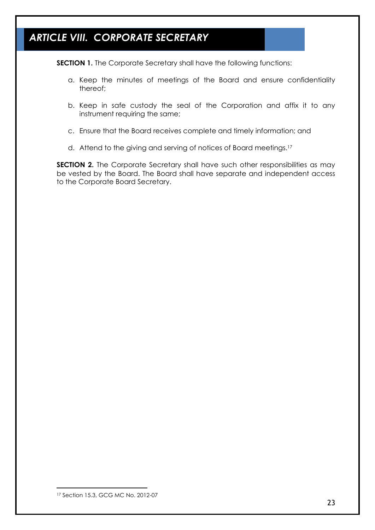# *ARTICLE VIII. CORPORATE SECRETARY*

**SECTION 1.** The Corporate Secretary shall have the following functions:

- a. Keep the minutes of meetings of the Board and ensure confidentiality thereof;
- b. Keep in safe custody the seal of the Corporation and affix it to any instrument requiring the same;
- c. Ensure that the Board receives complete and timely information; and
- d. Attend to the giving and serving of notices of Board meetings.<sup>17</sup>

**SECTION 2.** The Corporate Secretary shall have such other responsibilities as may be vested by the Board. The Board shall have separate and independent access to the Corporate Board Secretary.

<sup>17</sup> Section 15.3, GCG MC No. 2012-07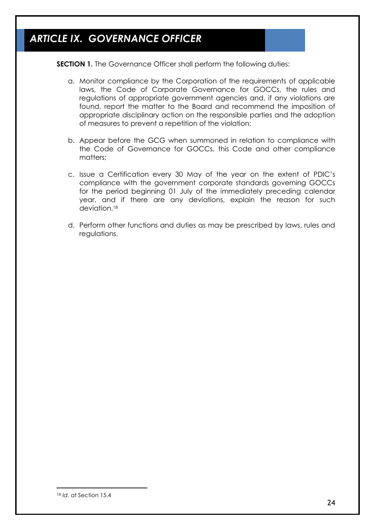# *ARTICLE IX. GOVERNANCE OFFICER*

**SECTION 1.** The Governance Officer shall perform the following duties:

- a. Monitor compliance by the Corporation of the requirements of applicable laws, the Code of Corporate Governance for GOCCs, the rules and regulations of appropriate government agencies and, if any violations are found, report the matter to the Board and recommend the imposition of appropriate disciplinary action on the responsible parties and the adoption of measures to prevent a repetition of the violation;
- b. Appear before the GCG when summoned in relation to compliance with the Code of Governance for GOCCs, this Code and other compliance matters;
- c. Issue a Certification every 30 May of the year on the extent of PDIC's compliance with the government corporate standards governing GOCCs for the period beginning 01 July of the immediately preceding calendar year, and if there are any deviations, explain the reason for such deviation.<sup>18</sup>
- d. Perform other functions and duties as may be prescribed by laws, rules and regulations.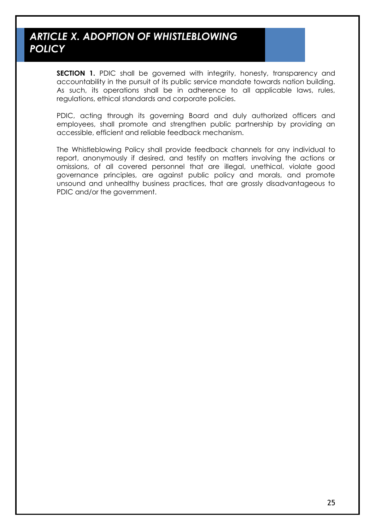### *ARTICLE X. ADOPTION OF WHISTLEBLOWING POLICY*

**SECTION 1.** PDIC shall be governed with integrity, honesty, transparency and accountability in the pursuit of its public service mandate towards nation building. As such, its operations shall be in adherence to all applicable laws, rules, regulations, ethical standards and corporate policies.

PDIC, acting through its governing Board and duly authorized officers and employees, shall promote and strengthen public partnership by providing an accessible, efficient and reliable feedback mechanism.

The Whistleblowing Policy shall provide feedback channels for any individual to report, anonymously if desired, and testify on matters involving the actions or omissions, of all covered personnel that are illegal, unethical, violate good governance principles, are against public policy and morals, and promote unsound and unhealthy business practices, that are grossly disadvantageous to PDIC and/or the government.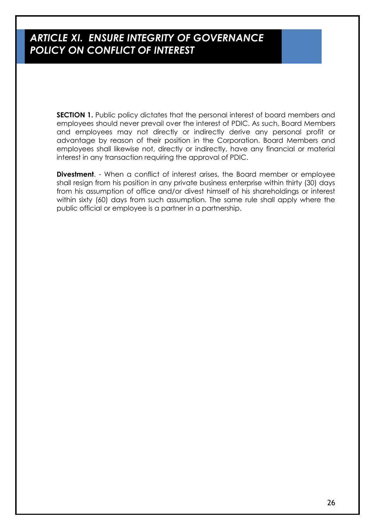### *ARTICLE XI. ENSURE INTEGRITY OF GOVERNANCE POLICY ON CONFLICT OF INTEREST*

**SECTION 1.** Public policy dictates that the personal interest of board members and employees should never prevail over the interest of PDIC. As such, Board Members and employees may not directly or indirectly derive any personal profit or advantage by reason of their position in the Corporation. Board Members and employees shall likewise not, directly or indirectly, have any financial or material interest in any transaction requiring the approval of PDIC.

**Divestment**. - When a conflict of interest arises, the Board member or employee shall resign from his position in any private business enterprise within thirty (30) days from his assumption of office and/or divest himself of his shareholdings or interest within sixty (60) days from such assumption. The same rule shall apply where the public official or employee is a partner in a partnership.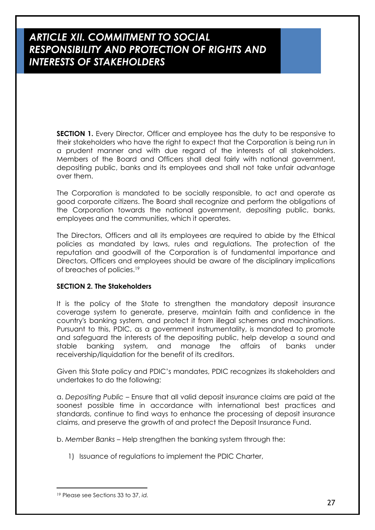**SECTION 1.** Every Director, Officer and employee has the duty to be responsive to their stakeholders who have the right to expect that the Corporation is being run in a prudent manner and with due regard of the interests of all stakeholders. Members of the Board and Officers shall deal fairly with national government, depositing public, banks and its employees and shall not take unfair advantage over them.

The Corporation is mandated to be socially responsible, to act and operate as good corporate citizens. The Board shall recognize and perform the obligations of the Corporation towards the national government, depositing public, banks, employees and the communities, which it operates.

The Directors, Officers and all its employees are required to abide by the Ethical policies as mandated by laws, rules and regulations. The protection of the reputation and goodwill of the Corporation is of fundamental importance and Directors, Officers and employees should be aware of the disciplinary implications of breaches of policies.<sup>19</sup>

#### **SECTION 2. The Stakeholders**

It is the policy of the State to strengthen the mandatory deposit insurance coverage system to generate, preserve, maintain faith and confidence in the country's banking system, and protect it from illegal schemes and machinations. Pursuant to this, PDIC, as a government instrumentality, is mandated to promote and safeguard the interests of the depositing public, help develop a sound and stable banking system, and manage the affairs of banks under receivership/liquidation for the benefit of its creditors.

Given this State policy and PDIC's mandates, PDIC recognizes its stakeholders and undertakes to do the following:

a. *Depositing Public* – Ensure that all valid deposit insurance claims are paid at the soonest possible time in accordance with international best practices and standards, continue to find ways to enhance the processing of deposit insurance claims, and preserve the growth of and protect the Deposit Insurance Fund.

b. *Member Banks* – Help strengthen the banking system through the:

1) Issuance of regulations to implement the PDIC Charter,

<sup>19</sup> Please see Sections 33 to 37, *id.*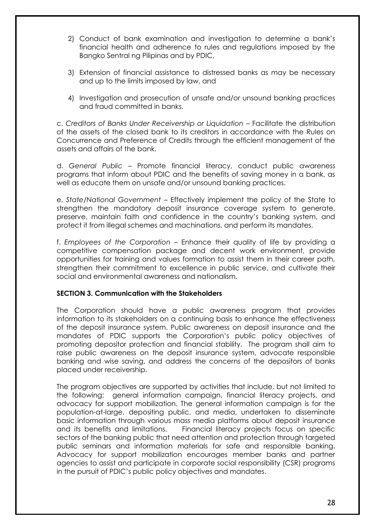- 2) Conduct of bank examination and investigation to determine a bank's financial health and adherence to rules and regulations imposed by the Bangko Sentral ng Pilipinas and by PDIC,
- 3) Extension of financial assistance to distressed banks as may be necessary and up to the limits imposed by law, and
- 4) Investigation and prosecution of unsafe and/or unsound banking practices and fraud committed in banks.

c. *Creditors of Banks Under Receivership or Liquidation* – Facilitate the distribution of the assets of the closed bank to its creditors in accordance with the Rules on Concurrence and Preference of Credits through the efficient management of the assets and affairs of the bank.

d. *General Public* – Promote financial literacy, conduct public awareness programs that inform about PDIC and the benefits of saving money in a bank, as well as educate them on unsafe and/or unsound banking practices.

e. *State/National Government* – Effectively implement the policy of the State to strengthen the mandatory deposit insurance coverage system to generate, preserve, maintain faith and confidence in the country's banking system, and protect it from illegal schemes and machinations, and perform its mandates.

f. *Employees of the Corporation* – Enhance their quality of life by providing a competitive compensation package and decent work environment, provide opportunities for training and values formation to assist them in their career path, strengthen their commitment to excellence in public service, and cultivate their social and environmental awareness and nationalism.

#### **SECTION 3. Communication with the Stakeholders**

The Corporation should have a public awareness program that provides information to its stakeholders on a continuing basis to enhance the effectiveness of the deposit insurance system. Public awareness on deposit insurance and the mandates of PDIC supports the Corporation's public policy objectives of promoting depositor protection and financial stability. The program shall aim to raise public awareness on the deposit insurance system, advocate responsible banking and wise saving, and address the concerns of the depositors of banks placed under receivership.

The program objectives are supported by activities that include, but not limited to the following: general information campaign, financial literacy projects, and advocacy for support mobilization. The general information campaign is for the population-at-large, depositing public, and media, undertaken to disseminate basic information through various mass media platforms about deposit insurance and its benefits and limitations. Financial literacy projects focus on specific sectors of the banking public that need attention and protection through targeted public seminars and information materials for safe and responsible banking. Advocacy for support mobilization encourages member banks and partner agencies to assist and participate in corporate social responsibility (CSR) programs in the pursuit of PDIC's public policy objectives and mandates.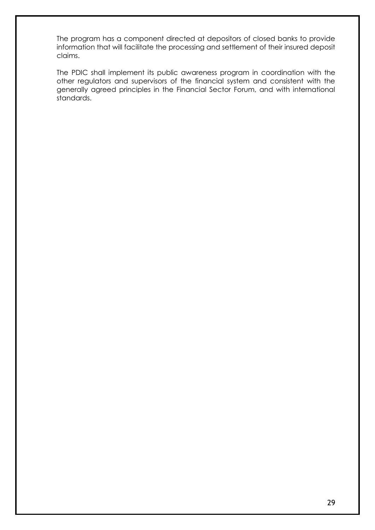The program has a component directed at depositors of closed banks to provide information that will facilitate the processing and settlement of their insured deposit claims.

The PDIC shall implement its public awareness program in coordination with the other regulators and supervisors of the financial system and consistent with the generally agreed principles in the Financial Sector Forum, and with international standards.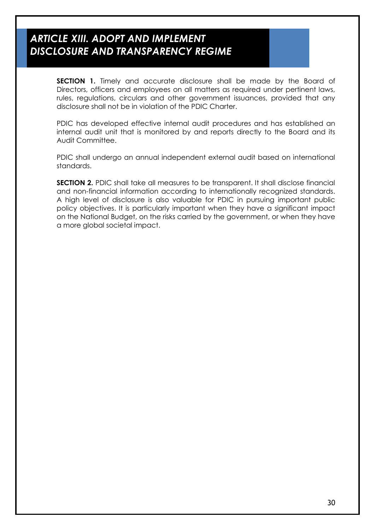### *ARTICLE XIII. ADOPT AND IMPLEMENT DISCLOSURE AND TRANSPARENCY REGIME*

**SECTION 1.** Timely and accurate disclosure shall be made by the Board of Directors, officers and employees on all matters as required under pertinent laws, rules, regulations, circulars and other government issuances, provided that any disclosure shall not be in violation of the PDIC Charter.

PDIC has developed effective internal audit procedures and has established an internal audit unit that is monitored by and reports directly to the Board and its Audit Committee.

PDIC shall undergo an annual independent external audit based on international standards.

**SECTION 2.** PDIC shall take all measures to be transparent. It shall disclose financial and non-financial information according to internationally recognized standards. A high level of disclosure is also valuable for PDIC in pursuing important public policy objectives. It is particularly important when they have a significant impact on the National Budget, on the risks carried by the government, or when they have a more global societal impact.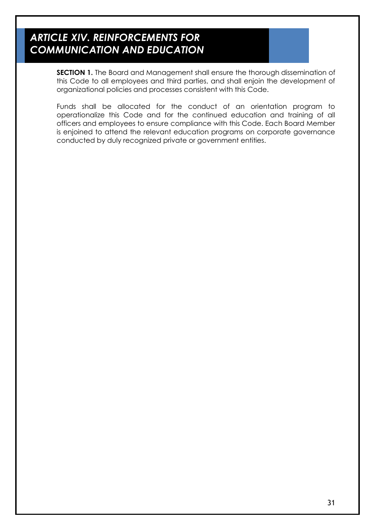# *ARTICLE XIV. REINFORCEMENTS FOR COMMUNICATION AND EDUCATION*

**SECTION 1.** The Board and Management shall ensure the thorough dissemination of this Code to all employees and third parties, and shall enjoin the development of organizational policies and processes consistent with this Code.

Funds shall be allocated for the conduct of an orientation program to operationalize this Code and for the continued education and training of all officers and employees to ensure compliance with this Code. Each Board Member is enjoined to attend the relevant education programs on corporate governance conducted by duly recognized private or government entities.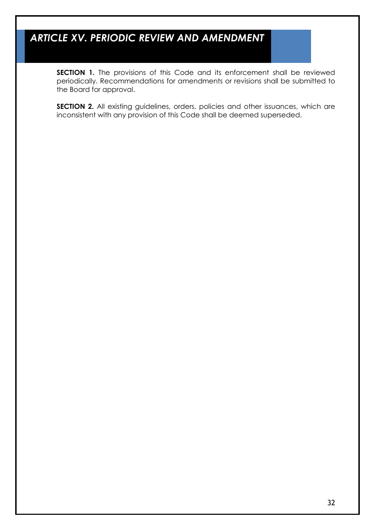# *ARTICLE XV. PERIODIC REVIEW AND AMENDMENT*

**SECTION 1.** The provisions of this Code and its enforcement shall be reviewed periodically. Recommendations for amendments or revisions shall be submitted to the Board for approval.

**SECTION 2.** All existing guidelines, orders, policies and other issuances, which are inconsistent with any provision of this Code shall be deemed superseded.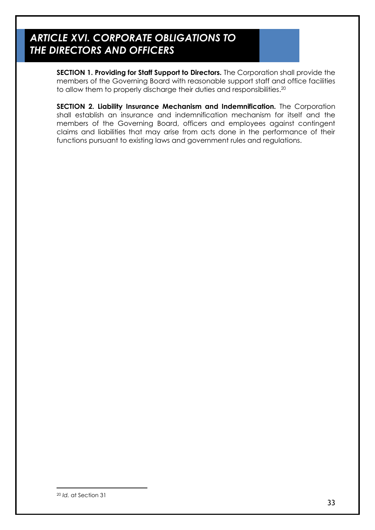### *ARTICLE XVI. CORPORATE OBLIGATIONS TO THE DIRECTORS AND OFFICERS*

**SECTION 1. Providing for Staff Support to Directors.** The Corporation shall provide the members of the Governing Board with reasonable support staff and office facilities to allow them to properly discharge their duties and responsibilities. 20

**SECTION 2. Liability Insurance Mechanism and Indemnification.** The Corporation shall establish an insurance and indemnification mechanism for itself and the members of the Governing Board, officers and employees against contingent claims and liabilities that may arise from acts done in the performance of their functions pursuant to existing laws and government rules and regulations.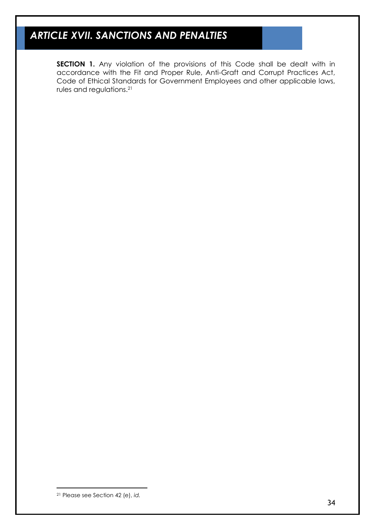# *ARTICLE XVII. SANCTIONS AND PENALTIES*

**SECTION 1.** Any violation of the provisions of this Code shall be dealt with in accordance with the Fit and Proper Rule, Anti-Graft and Corrupt Practices Act, Code of Ethical Standards for Government Employees and other applicable laws, rules and regulations.<sup>21</sup>

<sup>21</sup> Please see Section 42 (e), *id.*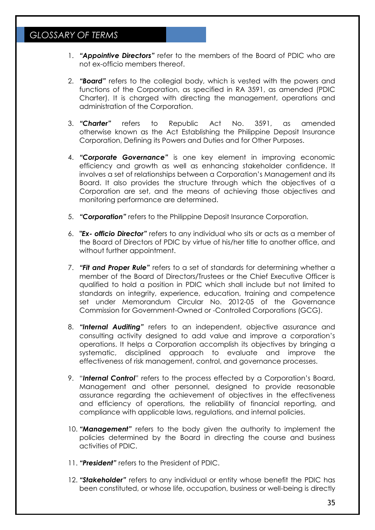- 1. *"Appointive Directors"* refer to the members of the Board of PDIC who are not ex-officio members thereof.
- 2. *"Board"* refers to the collegial body, which is vested with the powers and functions of the Corporation, as specified in RA 3591, as amended (PDIC Charter). It is charged with directing the management, operations and administration of the Corporation.
- 3. *"Charter"* refers to Republic Act No. 3591, as amended otherwise known as the Act Establishing the Philippine Deposit Insurance Corporation, Defining its Powers and Duties and for Other Purposes.
- 4. *"Corporate Governance"* is one key element in improving economic efficiency and growth as well as enhancing stakeholder confidence. It involves a set of relationships between a Corporation's Management and its Board. It also provides the structure through which the objectives of a Corporation are set, and the means of achieving those objectives and monitoring performance are determined.
- 5. *"Corporation"* refers to the Philippine Deposit Insurance Corporation.
- 6. *"Ex- officio Director"* refers to any individual who sits or acts as a member of the Board of Directors of PDIC by virtue of his/her title to another office, and without further appointment.
- 7. *"Fit and Proper Rule"* refers to a set of standards for determining whether a member of the Board of Directors/Trustees or the Chief Executive Officer is qualified to hold a position in PDIC which shall include but not limited to standards on integrity, experience, education, training and competence set under Memorandum Circular No. 2012-05 of the Governance Commission for Government-Owned or -Controlled Corporations (GCG).
- 8. *"Internal Auditing"* refers to an independent, objective assurance and consulting activity designed to add value and improve a corporation's operations. It helps a Corporation accomplish its objectives by bringing a systematic, disciplined approach to evaluate and improve the effectiveness of risk management, control, and governance processes.
- 9. "*Internal Control*" refers to the process effected by a Corporation's Board, Management and other personnel, designed to provide reasonable assurance regarding the achievement of objectives in the effectiveness and efficiency of operations, the reliability of financial reporting, and compliance with applicable laws, regulations, and internal policies.
- 10. *"Management"* refers to the body given the authority to implement the policies determined by the Board in directing the course and business activities of PDIC.
- 11. *"President"* refers to the President of PDIC.
- 12. *"Stakeholder"* refers to any individual or entity whose benefit the PDIC has been constituted, or whose life, occupation, business or well-being is directly